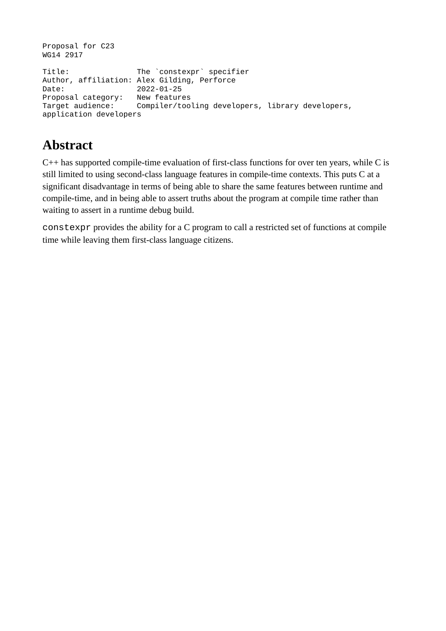```
Proposal for C23 
WG14 2917
Title: The `constexpr` specifier
Author, affiliation: Alex Gilding, Perforce<br>Date: 2022-01-25
                         2022-01-25<br>New features
Proposal category:<br>Target audience:
                        Compiler/tooling developers, library developers,
application developers
```
# **Abstract**

C++ has supported compile-time evaluation of first-class functions for over ten years, while C is still limited to using second-class language features in compile-time contexts. This puts C at a significant disadvantage in terms of being able to share the same features between runtime and compile-time, and in being able to assert truths about the program at compile time rather than waiting to assert in a runtime debug build.

constexpr provides the ability for a C program to call a restricted set of functions at compile time while leaving them first-class language citizens.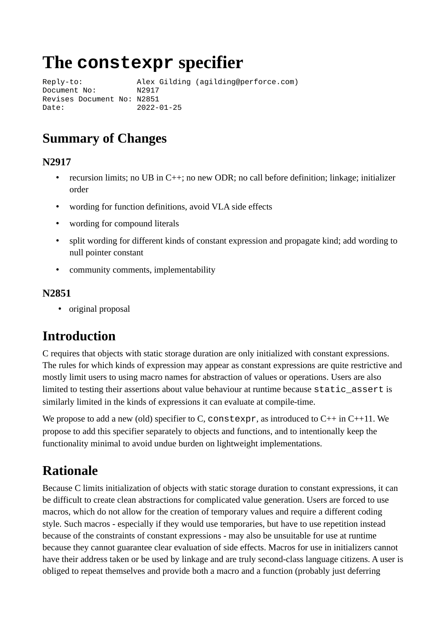# **The constexpr specifier**

Reply-to: Alex Gilding (agilding@perforce.com) Document No: N2917 Revises Document No: N2851 Date: 2022-01-25

### **Summary of Changes**

#### **N2917**

- recursion limits; no UB in C++; no new ODR; no call before definition; linkage; initializer order
- wording for function definitions, avoid VLA side effects
- wording for compound literals
- split wording for different kinds of constant expression and propagate kind; add wording to null pointer constant
- community comments, implementability

#### **N2851**

• original proposal

### **Introduction**

C requires that objects with static storage duration are only initialized with constant expressions. The rules for which kinds of expression may appear as constant expressions are quite restrictive and mostly limit users to using macro names for abstraction of values or operations. Users are also limited to testing their assertions about value behaviour at runtime because static\_assert is similarly limited in the kinds of expressions it can evaluate at compile-time.

We propose to add a new (old) specifier to C, constexpr, as introduced to  $C_{++}$  in  $C_{++}11$ . We propose to add this specifier separately to objects and functions, and to intentionally keep the functionality minimal to avoid undue burden on lightweight implementations.

# **Rationale**

Because C limits initialization of objects with static storage duration to constant expressions, it can be difficult to create clean abstractions for complicated value generation. Users are forced to use macros, which do not allow for the creation of temporary values and require a different coding style. Such macros - especially if they would use temporaries, but have to use repetition instead because of the constraints of constant expressions - may also be unsuitable for use at runtime because they cannot guarantee clear evaluation of side effects. Macros for use in initializers cannot have their address taken or be used by linkage and are truly second-class language citizens. A user is obliged to repeat themselves and provide both a macro and a function (probably just deferring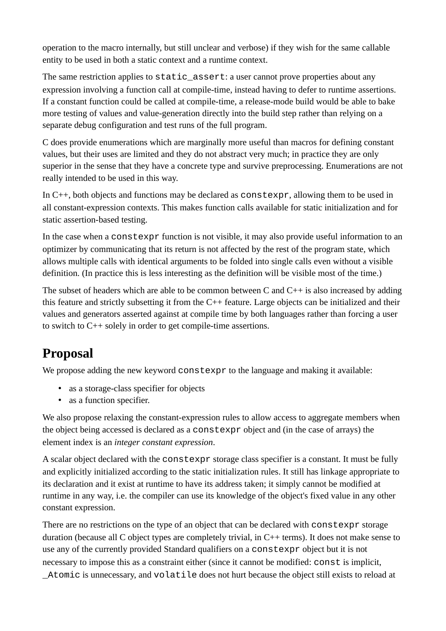operation to the macro internally, but still unclear and verbose) if they wish for the same callable entity to be used in both a static context and a runtime context.

The same restriction applies to  $static\_assert$ : a user cannot prove properties about any expression involving a function call at compile-time, instead having to defer to runtime assertions. If a constant function could be called at compile-time, a release-mode build would be able to bake more testing of values and value-generation directly into the build step rather than relying on a separate debug configuration and test runs of the full program.

C does provide enumerations which are marginally more useful than macros for defining constant values, but their uses are limited and they do not abstract very much; in practice they are only superior in the sense that they have a concrete type and survive preprocessing. Enumerations are not really intended to be used in this way.

In C++, both objects and functions may be declared as constexpr, allowing them to be used in all constant-expression contexts. This makes function calls available for static initialization and for static assertion-based testing.

In the case when a constexpr function is not visible, it may also provide useful information to an optimizer by communicating that its return is not affected by the rest of the program state, which allows multiple calls with identical arguments to be folded into single calls even without a visible definition. (In practice this is less interesting as the definition will be visible most of the time.)

The subset of headers which are able to be common between C and  $C_{++}$  is also increased by adding this feature and strictly subsetting it from the  $C^{++}$  feature. Large objects can be initialized and their values and generators asserted against at compile time by both languages rather than forcing a user to switch to C++ solely in order to get compile-time assertions.

# **Proposal**

We propose adding the new keyword  $\texttt{constexpr}$  to the language and making it available:

- as a storage-class specifier for objects
- as a function specifier.

We also propose relaxing the constant-expression rules to allow access to aggregate members when the object being accessed is declared as a constexpr object and (in the case of arrays) the element index is an *integer constant expression*.

A scalar object declared with the constexpr storage class specifier is a constant. It must be fully and explicitly initialized according to the static initialization rules. It still has linkage appropriate to its declaration and it exist at runtime to have its address taken; it simply cannot be modified at runtime in any way, i.e. the compiler can use its knowledge of the object's fixed value in any other constant expression.

There are no restrictions on the type of an object that can be declared with constexpr storage duration (because all C object types are completely trivial, in C++ terms). It does not make sense to use any of the currently provided Standard qualifiers on a constexpr object but it is not necessary to impose this as a constraint either (since it cannot be modified: const is implicit,

\_Atomic is unnecessary, and volatile does not hurt because the object still exists to reload at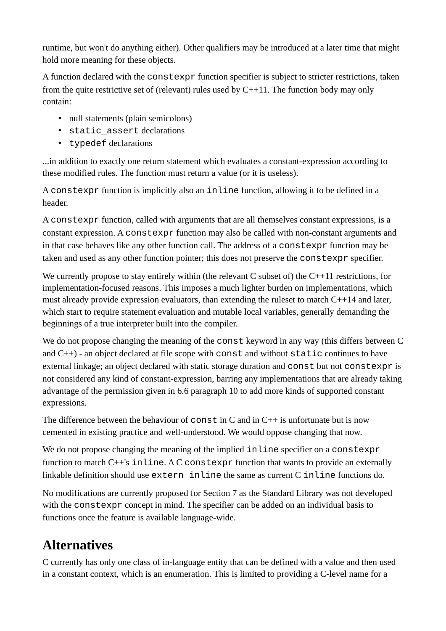runtime, but won't do anything either). Other qualifiers may be introduced at a later time that might hold more meaning for these objects.

A function declared with the constexpr function specifier is subject to stricter restrictions, taken from the quite restrictive set of (relevant) rules used by C++11. The function body may only contain:

- null statements (plain semicolons)
- static\_assert declarations
- typedef declarations

...in addition to exactly one return statement which evaluates a constant-expression according to these modified rules. The function must return a value (or it is useless).

A constexpr function is implicitly also an inline function, allowing it to be defined in a header.

A constexpr function, called with arguments that are all themselves constant expressions, is a constant expression. A constexpr function may also be called with non-constant arguments and in that case behaves like any other function call. The address of a constexpr function may be taken and used as any other function pointer; this does not preserve the constexpr specifier.

We currently propose to stay entirely within (the relevant C subset of) the C++11 restrictions, for implementation-focused reasons. This imposes a much lighter burden on implementations, which must already provide expression evaluators, than extending the ruleset to match C++14 and later, which start to require statement evaluation and mutable local variables, generally demanding the beginnings of a true interpreter built into the compiler.

We do not propose changing the meaning of the const keyword in any way (this differs between C and  $C_{+}$ ) - an object declared at file scope with const and without static continues to have external linkage; an object declared with static storage duration and const but not constexpr is not considered any kind of constant-expression, barring any implementations that are already taking advantage of the permission given in 6.6 paragraph 10 to add more kinds of supported constant expressions.

The difference between the behaviour of  $\texttt{const}$  in C and in  $C^{++}$  is unfortunate but is now cemented in existing practice and well-understood. We would oppose changing that now.

We do not propose changing the meaning of the implied inline specifier on a constexpr function to match C++'s inline. A C constexpr function that wants to provide an externally linkable definition should use extern inline the same as current C inline functions do.

No modifications are currently proposed for Section 7 as the Standard Library was not developed with the constexpr concept in mind. The specifier can be added on an individual basis to functions once the feature is available language-wide.

# **Alternatives**

C currently has only one class of in-language entity that can be defined with a value and then used in a constant context, which is an enumeration. This is limited to providing a C-level name for a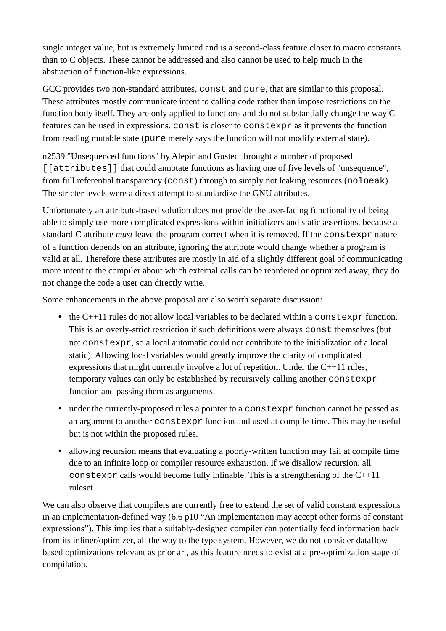single integer value, but is extremely limited and is a second-class feature closer to macro constants than to C objects. These cannot be addressed and also cannot be used to help much in the abstraction of function-like expressions.

GCC provides two non-standard attributes, const and pure, that are similar to this proposal. These attributes mostly communicate intent to calling code rather than impose restrictions on the function body itself. They are only applied to functions and do not substantially change the way C features can be used in expressions. const is closer to constexpr as it prevents the function from reading mutable state (pure merely says the function will not modify external state).

n2539 "Unsequenced functions" by Alepin and Gustedt brought a number of proposed [[attributes]] that could annotate functions as having one of five levels of "unsequence", from full referential transparency (const) through to simply not leaking resources (noloeak). The stricter levels were a direct attempt to standardize the GNU attributes.

Unfortunately an attribute-based solution does not provide the user-facing functionality of being able to simply use more complicated expressions within initializers and static assertions, because a standard C attribute *must* leave the program correct when it is removed. If the constexpr nature of a function depends on an attribute, ignoring the attribute would change whether a program is valid at all. Therefore these attributes are mostly in aid of a slightly different goal of communicating more intent to the compiler about which external calls can be reordered or optimized away; they do not change the code a user can directly write.

Some enhancements in the above proposal are also worth separate discussion:

- the C++11 rules do not allow local variables to be declared within a constexpr function. This is an overly-strict restriction if such definitions were always const themselves (but not constexpr, so a local automatic could not contribute to the initialization of a local static). Allowing local variables would greatly improve the clarity of complicated expressions that might currently involve a lot of repetition. Under the C++11 rules, temporary values can only be established by recursively calling another constexpr function and passing them as arguments.
- under the currently-proposed rules a pointer to a CONSTEXPT function cannot be passed as an argument to another constexpr function and used at compile-time. This may be useful but is not within the proposed rules.
- allowing recursion means that evaluating a poorly-written function may fail at compile time due to an infinite loop or compiler resource exhaustion. If we disallow recursion, all constexpr calls would become fully inlinable. This is a strengthening of the  $C++11$ ruleset.

We can also observe that compilers are currently free to extend the set of valid constant expressions in an implementation-defined way (6.6 p10 "An implementation may accept other forms of constant expressions"). This implies that a suitably-designed compiler can potentially feed information back from its inliner/optimizer, all the way to the type system. However, we do not consider dataflowbased optimizations relevant as prior art, as this feature needs to exist at a pre-optimization stage of compilation.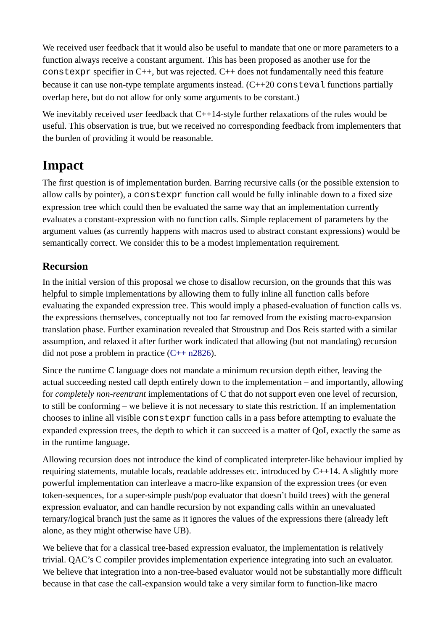We received user feedback that it would also be useful to mandate that one or more parameters to a function always receive a constant argument. This has been proposed as another use for the constexpr specifier in C++, but was rejected. C++ does not fundamentally need this feature because it can use non-type template arguments instead.  $(C++20$  consteval functions partially overlap here, but do not allow for only some arguments to be constant.)

We inevitably received *user* feedback that C++14-style further relaxations of the rules would be useful. This observation is true, but we received no corresponding feedback from implementers that the burden of providing it would be reasonable.

#### **Impact**

The first question is of implementation burden. Barring recursive calls (or the possible extension to allow calls by pointer), a constexpr function call would be fully inlinable down to a fixed size expression tree which could then be evaluated the same way that an implementation currently evaluates a constant-expression with no function calls. Simple replacement of parameters by the argument values (as currently happens with macros used to abstract constant expressions) would be semantically correct. We consider this to be a modest implementation requirement.

#### **Recursion**

In the initial version of this proposal we chose to disallow recursion, on the grounds that this was helpful to simple implementations by allowing them to fully inline all function calls before evaluating the expanded expression tree. This would imply a phased-evaluation of function calls vs. the expressions themselves, conceptually not too far removed from the existing macro-expansion translation phase. Further examination revealed that Stroustrup and Dos Reis started with a similar assumption, and relaxed it after further work indicated that allowing (but not mandating) recursion did not pose a problem in practice  $(C^{++}n2826)$ .

Since the runtime C language does not mandate a minimum recursion depth either, leaving the actual succeeding nested call depth entirely down to the implementation – and importantly, allowing for *completely non-reentrant* implementations of C that do not support even one level of recursion, to still be conforming – we believe it is not necessary to state this restriction. If an implementation chooses to inline all visible constexpr function calls in a pass before attempting to evaluate the expanded expression trees, the depth to which it can succeed is a matter of QoI, exactly the same as in the runtime language.

Allowing recursion does not introduce the kind of complicated interpreter-like behaviour implied by requiring statements, mutable locals, readable addresses etc. introduced by C++14. A slightly more powerful implementation can interleave a macro-like expansion of the expression trees (or even token-sequences, for a super-simple push/pop evaluator that doesn't build trees) with the general expression evaluator, and can handle recursion by not expanding calls within an unevaluated ternary/logical branch just the same as it ignores the values of the expressions there (already left alone, as they might otherwise have UB).

We believe that for a classical tree-based expression evaluator, the implementation is relatively trivial. QAC's C compiler provides implementation experience integrating into such an evaluator. We believe that integration into a non-tree-based evaluator would not be substantially more difficult because in that case the call-expansion would take a very similar form to function-like macro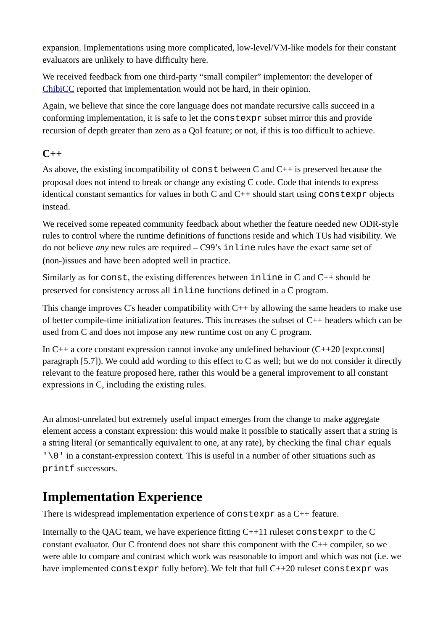expansion. Implementations using more complicated, low-level/VM-like models for their constant evaluators are unlikely to have difficulty here.

We received feedback from one third-party "small compiler" implementor: the developer of [ChibiCC](https://github.com/rui314/chibicc) reported that implementation would not be hard, in their opinion.

Again, we believe that since the core language does not mandate recursive calls succeed in a conforming implementation, it is safe to let the constexpr subset mirror this and provide recursion of depth greater than zero as a QoI feature; or not, if this is too difficult to achieve.

#### **C++**

As above, the existing incompatibility of const between C and C++ is preserved because the proposal does not intend to break or change any existing C code. Code that intends to express identical constant semantics for values in both C and C++ should start using constexpr objects instead.

We received some repeated community feedback about whether the feature needed new ODR-style rules to control where the runtime definitions of functions reside and which TUs had visibility. We do not believe *any* new rules are required – C99's inline rules have the exact same set of (non-)issues and have been adopted well in practice.

Similarly as for  $const$ , the existing differences between  $in$  line in C and  $C^{++}$  should be preserved for consistency across all inline functions defined in a C program.

This change improves C's header compatibility with C<sup>++</sup> by allowing the same headers to make use of better compile-time initialization features. This increases the subset of C++ headers which can be used from C and does not impose any new runtime cost on any C program.

In  $C++$  a core constant expression cannot invoke any undefined behaviour  $(C++20$  [expr.const] paragraph [5.7]). We could add wording to this effect to C as well; but we do not consider it directly relevant to the feature proposed here, rather this would be a general improvement to all constant expressions in C, including the existing rules.

An almost-unrelated but extremely useful impact emerges from the change to make aggregate element access a constant expression: this would make it possible to statically assert that a string is a string literal (or semantically equivalent to one, at any rate), by checking the final char equals '\0' in a constant-expression context. This is useful in a number of other situations such as printf successors.

#### **Implementation Experience**

There is widespread implementation experience of constexpr as a C++ feature.

Internally to the QAC team, we have experience fitting C++11 ruleset constexpr to the C constant evaluator. Our C frontend does not share this component with the C++ compiler, so we were able to compare and contrast which work was reasonable to import and which was not (i.e. we have implemented constexpr fully before). We felt that full C++20 ruleset constexpr was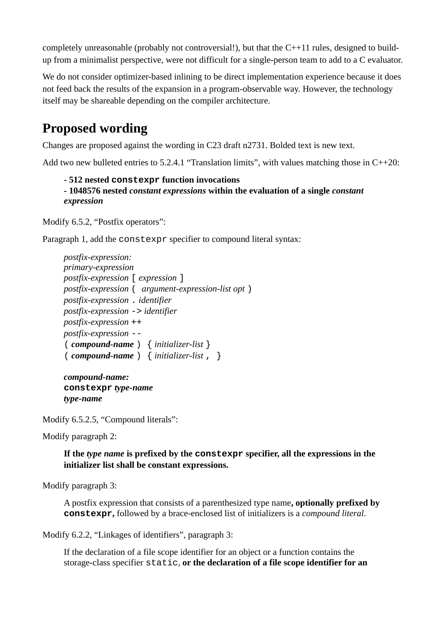completely unreasonable (probably not controversial!), but that the C++11 rules, designed to buildup from a minimalist perspective, were not difficult for a single-person team to add to a C evaluator.

We do not consider optimizer-based inlining to be direct implementation experience because it does not feed back the results of the expansion in a program-observable way. However, the technology itself may be shareable depending on the compiler architecture.

# **Proposed wording**

Changes are proposed against the wording in C23 draft n2731. Bolded text is new text.

Add two new bulleted entries to 5.2.4.1 "Translation limits", with values matching those in C++20:

```
- 512 nested constexpr function invocations
```
**- 1048576 nested** *constant expressions* **within the evaluation of a single** *constant expression*

Modify 6.5.2, "Postfix operators":

Paragraph 1, add the constexpr specifier to compound literal syntax:

*postfix-expression: primary-expression postfix-expression* [ *expression* ] *postfix-expression* ( *argument-expression-list opt* ) *postfix-expression* . *identifier postfix-expression* -> *identifier postfix-expression* ++ *postfix-expression* -- ( *compound-name* ) { *initializer-list* } ( *compound-name* ) { *initializer-list* , }

*compound-name:* **constexpr** *type-name type-name*

Modify 6.5.2.5, "Compound literals":

Modify paragraph 2:

**If the** *type name* **is prefixed by the constexpr specifier, all the expressions in the initializer list shall be constant expressions.**

Modify paragraph 3:

A postfix expression that consists of a parenthesized type name**, optionally prefixed by constexpr,** followed by a brace-enclosed list of initializers is a *compound literal*.

Modify 6.2.2, "Linkages of identifiers", paragraph 3:

If the declaration of a file scope identifier for an object or a function contains the storage-class specifier static, **or the declaration of a file scope identifier for an**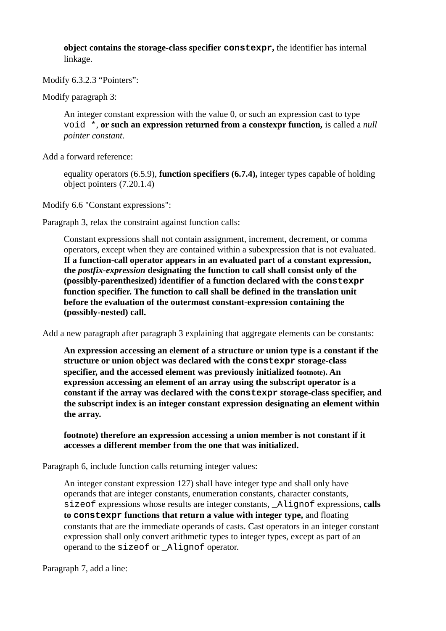**object contains the storage-class specifier constexpr,** the identifier has internal linkage.

Modify 6.3.2.3 "Pointers":

Modify paragraph 3:

An integer constant expression with the value 0, or such an expression cast to type void \*, **or such an expression returned from a constexpr function,** is called a *null pointer constant*.

Add a forward reference:

equality operators (6.5.9), **function specifiers (6.7.4),** integer types capable of holding object pointers (7.20.1.4)

Modify 6.6 "Constant expressions":

Paragraph 3, relax the constraint against function calls:

Constant expressions shall not contain assignment, increment, decrement, or comma operators, except when they are contained within a subexpression that is not evaluated. **If a function-call operator appears in an evaluated part of a constant expression, the** *postfix-expression* **designating the function to call shall consist only of the (possibly-parenthesized) identifier of a function declared with the constexpr function specifier. The function to call shall be defined in the translation unit before the evaluation of the outermost constant-expression containing the (possibly-nested) call.**

Add a new paragraph after paragraph 3 explaining that aggregate elements can be constants:

**An expression accessing an element of a structure or union type is a constant if the structure or union object was declared with the constexpr storage-class specifier, and the accessed element was previously initialized footnote). An expression accessing an element of an array using the subscript operator is a constant if the array was declared with the constexpr storage-class specifier, and the subscript index is an integer constant expression designating an element within the array.**

**footnote) therefore an expression accessing a union member is not constant if it accesses a different member from the one that was initialized.**

Paragraph 6, include function calls returning integer values:

An integer constant expression 127) shall have integer type and shall only have operands that are integer constants, enumeration constants, character constants, sizeof expressions whose results are integer constants, \_Alignof expressions, **calls to constexpr functions that return a value with integer type,** and floating constants that are the immediate operands of casts. Cast operators in an integer constant expression shall only convert arithmetic types to integer types, except as part of an operand to the sizeof or \_Alignof operator.

Paragraph 7, add a line: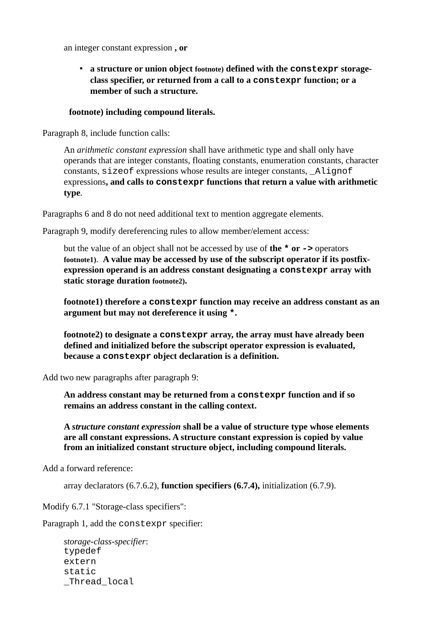an integer constant expression **, or**

• **a structure or union object footnote) defined with the constexpr storageclass specifier, or returned from a call to a constexpr function; or a member of such a structure.**

#### **footnote) including compound literals.**

Paragraph 8, include function calls:

An *arithmetic constant expression* shall have arithmetic type and shall only have operands that are integer constants, floating constants, enumeration constants, character constants, sizeof expressions whose results are integer constants, \_Alignof expressions**, and calls to constexpr functions that return a value with arithmetic type**.

Paragraphs 6 and 8 do not need additional text to mention aggregate elements.

Paragraph 9, modify dereferencing rules to allow member/element access:

but the value of an object shall not be accessed by use of **the \* or ->** operators **footnote1)**. **A value may be accessed by use of the subscript operator if its postfixexpression operand is an address constant designating a constexpr array with static storage duration footnote2).**

**footnote1) therefore a constexpr function may receive an address constant as an argument but may not dereference it using \*.**

**footnote2) to designate a constexpr array, the array must have already been defined and initialized before the subscript operator expression is evaluated, because a constexpr object declaration is a definition.**

Add two new paragraphs after paragraph 9:

**An address constant may be returned from a constexpr function and if so remains an address constant in the calling context.**

**A** *structure constant expression* **shall be a value of structure type whose elements are all constant expressions. A structure constant expression is copied by value from an initialized constant structure object, including compound literals.**

Add a forward reference:

array declarators (6.7.6.2), **function specifiers (6.7.4),** initialization (6.7.9).

Modify 6.7.1 "Storage-class specifiers":

Paragraph 1, add the constexpr specifier:

*storage-class-specifier*: typedef extern static \_Thread\_local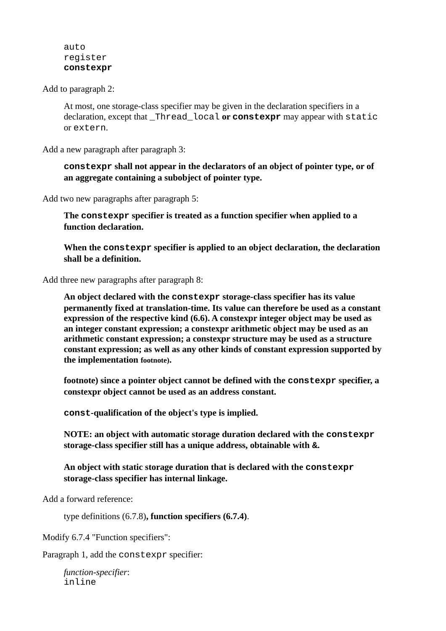auto register **constexpr**

Add to paragraph 2:

At most, one storage-class specifier may be given in the declaration specifiers in a declaration, except that \_Thread\_local **or constexpr** may appear with static or extern.

Add a new paragraph after paragraph 3:

**constexpr shall not appear in the declarators of an object of pointer type, or of an aggregate containing a subobject of pointer type.**

Add two new paragraphs after paragraph 5:

**The constexpr specifier is treated as a function specifier when applied to a function declaration.**

**When the constexpr specifier is applied to an object declaration, the declaration shall be a definition.**

Add three new paragraphs after paragraph 8:

**An object declared with the constexpr storage-class specifier has its value permanently fixed at translation-time. Its value can therefore be used as a constant expression of the respective kind (6.6). A constexpr integer object may be used as an integer constant expression; a constexpr arithmetic object may be used as an arithmetic constant expression; a constexpr structure may be used as a structure constant expression; as well as any other kinds of constant expression supported by the implementation footnote).**

**footnote) since a pointer object cannot be defined with the constexpr specifier, a constexpr object cannot be used as an address constant.**

**const-qualification of the object's type is implied.** 

**NOTE: an object with automatic storage duration declared with the constexpr storage-class specifier still has a unique address, obtainable with &.**

**An object with static storage duration that is declared with the constexpr storage-class specifier has internal linkage.**

Add a forward reference:

type definitions (6.7.8)**, function specifiers (6.7.4)**.

Modify 6.7.4 "Function specifiers":

Paragraph 1, add the constexpr specifier:

*function-specifier*: inline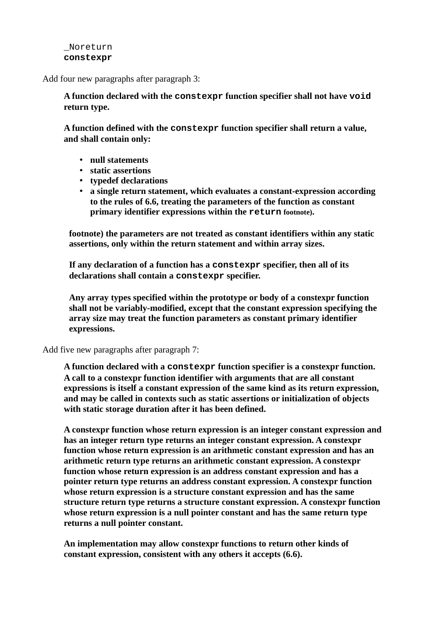#### \_Noreturn **constexpr**

Add four new paragraphs after paragraph 3:

**A function declared with the constexpr function specifier shall not have void return type.**

**A function defined with the constexpr function specifier shall return a value, and shall contain only:**

- **null statements**
- **static assertions**
- **typedef declarations**
- **a single return statement, which evaluates a constant-expression according to the rules of 6.6, treating the parameters of the function as constant primary identifier expressions within the return footnote).**

**footnote) the parameters are not treated as constant identifiers within any static assertions, only within the return statement and within array sizes.**

**If any declaration of a function has a constexpr specifier, then all of its declarations shall contain a constexpr specifier.**

**Any array types specified within the prototype or body of a constexpr function shall not be variably-modified, except that the constant expression specifying the array size may treat the function parameters as constant primary identifier expressions.**

Add five new paragraphs after paragraph 7:

**A function declared with a constexpr function specifier is a constexpr function. A call to a constexpr function identifier with arguments that are all constant expressions is itself a constant expression of the same kind as its return expression, and may be called in contexts such as static assertions or initialization of objects with static storage duration after it has been defined.**

**A constexpr function whose return expression is an integer constant expression and has an integer return type returns an integer constant expression. A constexpr function whose return expression is an arithmetic constant expression and has an arithmetic return type returns an arithmetic constant expression. A constexpr function whose return expression is an address constant expression and has a pointer return type returns an address constant expression. A constexpr function whose return expression is a structure constant expression and has the same structure return type returns a structure constant expression. A constexpr function whose return expression is a null pointer constant and has the same return type returns a null pointer constant.**

**An implementation may allow constexpr functions to return other kinds of constant expression, consistent with any others it accepts (6.6).**